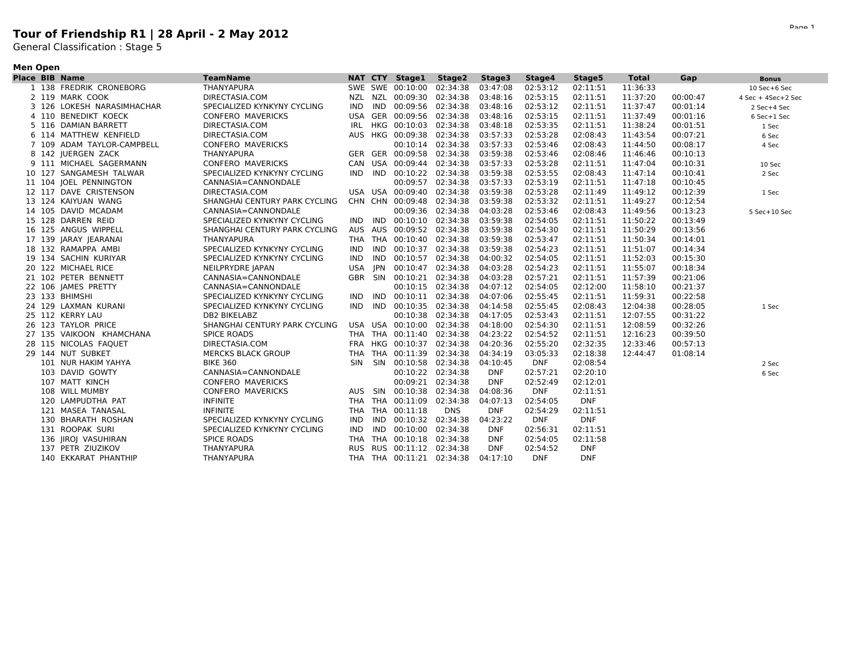## **Tour of Friendship R1 | 28 April - 2 May 2012**

General Classification : Stage 5

## **Men Open**

|  | <b>Place BIB Name</b>      | <b>TeamName</b>               |            |     | NAT CTY Stage1            | Stage2     | Stage3     | Stage4     | Stage5     | <b>Total</b> | Gap      | <b>Bonus</b>       |
|--|----------------------------|-------------------------------|------------|-----|---------------------------|------------|------------|------------|------------|--------------|----------|--------------------|
|  | 1 138 FREDRIK CRONEBORG    | <b>THANYAPURA</b>             |            |     | SWE SWE 00:10:00 02:34:38 |            | 03:47:08   | 02:53:12   | 02:11:51   | 11:36:33     |          | 10 Sec+6 Sec       |
|  | 2 119 MARK COOK            | DIRECTASIA.COM                |            |     | NZL NZL 00:09:30 02:34:38 |            | 03:48:16   | 02:53:15   | 02:11:51   | 11:37:20     | 00:00:47 | 4 Sec + 4Sec+2 Sec |
|  | 3 126 LOKESH NARASIMHACHAR | SPECIALIZED KYNKYNY CYCLING   | IND        |     | IND 00:09:56 02:34:38     |            | 03:48:16   | 02:53:12   | 02:11:51   | 11:37:47     | 00:01:14 | 2 Sec+4 Sec        |
|  | 4 110 BENEDIKT KOECK       | <b>CONFERO MAVERICKS</b>      |            |     | USA GER 00:09:56 02:34:38 |            | 03:48:16   | 02:53:15   | 02:11:51   | 11:37:49     | 00:01:16 | 6 Sec+1 Sec        |
|  | 5 116 DAMIAN BARRETT       | DIRECTASIA.COM                | IRL        |     | HKG 00:10:03              | 02:34:38   | 03:48:18   | 02:53:35   | 02:11:51   | 11:38:24     | 00:01:51 | 1 Sec              |
|  | 6 114 MATTHEW KENFIELD     | DIRECTASIA.COM                |            |     | AUS HKG 00:09:38 02:34:38 |            | 03:57:33   | 02:53:28   | 02:08:43   | 11:43:54     | 00:07:21 | 6 Sec              |
|  | 7 109 ADAM TAYLOR-CAMPBELL | <b>CONFERO MAVERICKS</b>      |            |     | 00:10:14 02:34:38         |            | 03:57:33   | 02:53:46   | 02:08:43   | 11:44:50     | 00:08:17 | 4 Sec              |
|  | 8 142 JUERGEN ZACK         | THANYAPURA                    |            |     | GER GER 00:09:58          | 02:34:38   | 03:59:38   | 02:53:46   | 02:08:46   | 11:46:46     | 00:10:13 |                    |
|  | 9 111 MICHAEL SAGERMANN    | <b>CONFERO MAVERICKS</b>      |            |     | CAN USA 00:09:44 02:34:38 |            | 03:57:33   | 02:53:28   | 02:11:51   | 11:47:04     | 00:10:31 | 10 Sec             |
|  | 10 127 SANGAMESH TALWAR    | SPECIALIZED KYNKYNY CYCLING   |            |     | IND IND 00:10:22          | 02:34:38   | 03:59:38   | 02:53:55   | 02:08:43   | 11:47:14     | 00:10:41 | 2 Sec              |
|  | 11 104 JOEL PENNINGTON     | CANNASIA=CANNONDALE           |            |     | 00:09:57                  | 02:34:38   | 03:57:33   | 02:53:19   | 02:11:51   | 11:47:18     | 00:10:45 |                    |
|  | 12 117 DAVE CRISTENSON     | DIRECTASIA.COM                |            |     | USA USA 00:09:40          | 02:34:38   | 03:59:38   | 02:53:28   | 02:11:49   | 11:49:12     | 00:12:39 | 1 Sec              |
|  | 13 124 KAIYUAN WANG        | SHANGHAI CENTURY PARK CYCLING |            |     | CHN CHN 00:09:48 02:34:38 |            | 03:59:38   | 02:53:32   | 02:11:51   | 11:49:27     | 00:12:54 |                    |
|  | 14 105 DAVID MCADAM        | CANNASIA=CANNONDALE           |            |     | 00:09:36 02:34:38         |            | 04:03:28   | 02:53:46   | 02:08:43   | 11:49:56     | 00:13:23 | 5 Sec+10 Sec       |
|  | 15 128 DARREN REID         | SPECIALIZED KYNKYNY CYCLING   | <b>IND</b> | IND | 00:10:10 02:34:38         |            | 03:59:38   | 02:54:05   | 02:11:51   | 11:50:22     | 00:13:49 |                    |
|  | 16 125 ANGUS WIPPELL       | SHANGHAI CENTURY PARK CYCLING |            |     | AUS AUS 00:09:52 02:34:38 |            | 03:59:38   | 02:54:30   | 02:11:51   | 11:50:29     | 00:13:56 |                    |
|  | 17 139 JARAY JEARANAI      | THANYAPURA                    |            |     | THA THA 00:10:40          | 02:34:38   | 03:59:38   | 02:53:47   | 02:11:51   | 11:50:34     | 00:14:01 |                    |
|  | 18 132 RAMAPPA AMBI        | SPECIALIZED KYNKYNY CYCLING   | IND        |     | IND 00:10:37              | 02:34:38   | 03:59:38   | 02:54:23   | 02:11:51   | 11:51:07     | 00:14:34 |                    |
|  | 19 134 SACHIN KURIYAR      | SPECIALIZED KYNKYNY CYCLING   | IND        | IND | 00:10:57                  | 02:34:38   | 04:00:32   | 02:54:05   | 02:11:51   | 11:52:03     | 00:15:30 |                    |
|  | 20 122 MICHAEL RICE        | NEILPRYDRE JAPAN              | USA        |     | JPN 00:10:47 02:34:38     |            | 04:03:28   | 02:54:23   | 02:11:51   | 11:55:07     | 00:18:34 |                    |
|  | 21 102 PETER BENNETT       | CANNASIA=CANNONDALE           |            |     | GBR SIN 00:10:21 02:34:38 |            | 04:03:28   | 02:57:21   | 02:11:51   | 11:57:39     | 00:21:06 |                    |
|  | 22 106 JAMES PRETTY        | CANNASIA=CANNONDALE           |            |     | 00:10:15 02:34:38         |            | 04:07:12   | 02:54:05   | 02:12:00   | 11:58:10     | 00:21:37 |                    |
|  | 23 133 BHIMSHI             | SPECIALIZED KYNKYNY CYCLING   | IND.       | IND | 00:10:11 02:34:38         |            | 04:07:06   | 02:55:45   | 02:11:51   | 11:59:31     | 00:22:58 |                    |
|  | 24 129 LAXMAN KURANI       | SPECIALIZED KYNKYNY CYCLING   | IND        | IND | 00:10:35 02:34:38         |            | 04:14:58   | 02:55:45   | 02:08:43   | 12:04:38     | 00:28:05 | 1 Sec              |
|  | 25 112 KERRY LAU           | <b>DB2 BIKELABZ</b>           |            |     | 00:10:38 02:34:38         |            | 04:17:05   | 02:53:43   | 02:11:51   | 12:07:55     | 00:31:22 |                    |
|  | 26 123 TAYLOR PRICE        | SHANGHAI CENTURY PARK CYCLING |            |     | USA USA 00:10:00 02:34:38 |            | 04:18:00   | 02:54:30   | 02:11:51   | 12:08:59     | 00:32:26 |                    |
|  | 27 135 VAIKOON KHAMCHANA   | <b>SPICE ROADS</b>            |            |     | THA THA 00:11:40 02:34:38 |            | 04:23:22   | 02:54:52   | 02:11:51   | 12:16:23     | 00:39:50 |                    |
|  | 28 115 NICOLAS FAQUET      | DIRECTASIA.COM                |            |     | FRA HKG 00:10:37          | 02:34:38   | 04:20:36   | 02:55:20   | 02:32:35   | 12:33:46     | 00:57:13 |                    |
|  | 29 144 NUT SUBKET          | <b>MERCKS BLACK GROUP</b>     |            |     | THA THA 00:11:39 02:34:38 |            | 04:34:19   | 03:05:33   | 02:18:38   | 12:44:47     | 01:08:14 |                    |
|  | 101 NUR HAKIM YAHYA        | <b>BIKE 360</b>               |            |     | SIN SIN 00:10:58 02:34:38 |            | 04:10:45   | <b>DNF</b> | 02:08:54   |              |          | 2 Sec              |
|  | 103 DAVID GOWTY            | CANNASIA=CANNONDALE           |            |     | 00:10:22 02:34:38         |            | <b>DNF</b> | 02:57:21   | 02:20:10   |              |          | 6 Sec              |
|  | 107 MATT KINCH             | <b>CONFERO MAVERICKS</b>      |            |     | 00:09:21 02:34:38         |            | <b>DNF</b> | 02:52:49   | 02:12:01   |              |          |                    |
|  | 108 WILL MUMBY             | <b>CONFERO MAVERICKS</b>      |            |     | AUS SIN 00:10:38          | 02:34:38   | 04:08:36   | <b>DNF</b> | 02:11:51   |              |          |                    |
|  | 120 LAMPUDTHA PAT          | <b>INFINITE</b>               | THA        |     | THA 00:11:09              | 02:34:38   | 04:07:13   | 02:54:05   | <b>DNF</b> |              |          |                    |
|  | 121 MASEA TANASAL          | <b>INFINITE</b>               |            |     | THA THA 00:11:18          | <b>DNS</b> | <b>DNF</b> | 02:54:29   | 02:11:51   |              |          |                    |
|  | 130 BHARATH ROSHAN         | SPECIALIZED KYNKYNY CYCLING   | IND        |     | IND 00:10:32              | 02:34:38   | 04:23:22   | <b>DNF</b> | <b>DNF</b> |              |          |                    |
|  | 131 ROOPAK SURI            | SPECIALIZED KYNKYNY CYCLING   | IND        |     | IND 00:10:00 02:34:38     |            | <b>DNF</b> | 02:56:31   | 02:11:51   |              |          |                    |
|  | 136 JIROJ VASUHIRAN        | <b>SPICE ROADS</b>            | THA        |     | THA 00:10:18              | 02:34:38   | <b>DNF</b> | 02:54:05   | 02:11:58   |              |          |                    |
|  | 137 PETR ZIUZIKOV          | THANYAPURA                    | <b>RUS</b> |     | RUS 00:11:12              | 02:34:38   | <b>DNF</b> | 02:54:52   | <b>DNF</b> |              |          |                    |
|  | 140 EKKARAT PHANTHIP       | THANYAPURA                    |            |     | THA THA 00:11:21 02:34:38 |            | 04:17:10   | <b>DNF</b> | <b>DNF</b> |              |          |                    |
|  |                            |                               |            |     |                           |            |            |            |            |              |          |                    |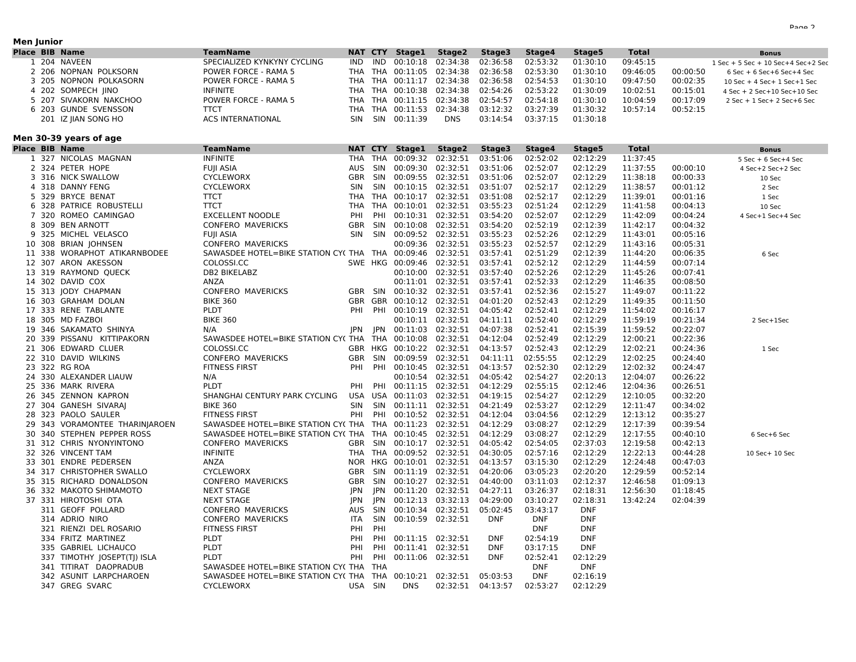#### **Men Junior**

| <b>Place BIB Name</b> |                        | <b>TeamName</b>             |      |     | NAT CTY Stage1 | Stage2                             | Stage3   | Stage4   | Stage5   | <b>Total</b> |          | Bonus                                 |
|-----------------------|------------------------|-----------------------------|------|-----|----------------|------------------------------------|----------|----------|----------|--------------|----------|---------------------------------------|
|                       | . 204 NAVEEN           | SPECIALIZED KYNKYNY CYCLING | IND. |     |                | IND 00:10:18 02:34:38 02:36:58     |          | 02:53:32 | 01:30:10 | 09:45:15     |          | 1 Sec + 5 Sec + 10 Sec+4 Sec+2 Sec    |
|                       | 2 206 NOPNAN POLKSORN  | POWER FORCE - RAMA 5        |      |     |                | THA THA 00:11:05 02:34:38 02:36:58 |          | 02:53:30 | 01:30:10 | 09:46:05     | 00:00:50 | $6$ Sec + $6$ Sec + $6$ Sec + $4$ Sec |
|                       | 3 205 NOPNON POLKASORN | POWER FORCE - RAMA 5        |      |     |                | THA THA 00:11:17 02:34:38 02:36:58 |          | 02:54:53 | 01:30:10 | 09:47:50     | 00:02:35 | $10$ Sec + 4 Sec + $1$ Sec + $1$ Sec  |
|                       | 4 202 SOMPECH JINO     | <b>INFINITE</b>             |      |     |                | THA THA 00:10:38 02:34:38 02:54:26 |          | 02:53:22 | 01:30:09 | 10:02:51     | 00:15:01 | $4$ Sec + 2 Sec+10 Sec+10 Sec         |
|                       | 5 207 SIVAKORN NAKCHOO | POWER FORCE - RAMA 5        |      |     |                | THA THA 00:11:15 02:34:38 02:54:57 |          | 02:54:18 | 01:30:10 | 10:04:59     | 00:17:09 | 2 Sec + 1 Sec + 2 Sec + 6 Sec         |
|                       | 6 203 GUNDE SVENSSON   | ттст                        |      |     |                | THA THA 00:11:53 02:34:38 03:12:32 |          | 03:27:39 | 01:30:32 | 10:57:14     | 00:52:15 |                                       |
|                       | 201 IZ IIAN SONG HO    | <b>ACS INTERNATIONAL</b>    | SIN  | SIN | 00:11:39       | <b>DNS</b>                         | 03:14:54 | 03:37:15 | 01:30:18 |              |          |                                       |

### **Men 30-39 years of age**

|              | Place BIB Name                 | TeamName                                                          |         |            | <b>NAT CTY Stage1</b> | Stage2                             | Stage3            | Stage4     | Stage5     | Total    |          | <b>Bonus</b>            |
|--------------|--------------------------------|-------------------------------------------------------------------|---------|------------|-----------------------|------------------------------------|-------------------|------------|------------|----------|----------|-------------------------|
| $\mathbf{1}$ | 327 NICOLAS MAGNAN             | <b>INFINITE</b>                                                   |         |            |                       | THA THA 00:09:32 02:32:51          | 03:51:06          | 02:52:02   | 02:12:29   | 11:37:45 |          | $5$ Sec + 6 Sec + 4 Sec |
|              | 2 324 PETER HOPE               | FUJI ASIA                                                         | AUS SIN |            |                       | 00:09:30 02:32:51 03:51:06         |                   | 02:52:07   | 02:12:29   | 11:37:55 | 00:00:10 | 4 Sec+2 Sec+2 Sec       |
|              | 3 316 NICK SWALLOW             | <b>CYCLEWORX</b>                                                  |         | GBR SIN    |                       | 00:09:55 02:32:51 03:51:06         |                   | 02:52:07   | 02:12:29   | 11:38:18 | 00:00:33 | 10 Sec                  |
|              | 4 318 DANNY FENG               | <b>CYCLEWORX</b>                                                  | SIN     | SIN        |                       | 00:10:15 02:32:51 03:51:07         |                   | 02:52:17   | 02:12:29   | 11:38:57 | 00:01:12 | 2 Sec                   |
|              | 5 329 BRYCE BENAT              | <b>TTCT</b>                                                       |         |            |                       | THA THA 00:10:17 02:32:51 03:51:08 |                   | 02:52:17   | 02:12:29   | 11:39:01 | 00:01:16 | 1 Sec                   |
|              | 6 328 PATRICE ROBUSTELLI       | <b>TTCT</b>                                                       |         |            |                       | THA THA 00:10:01 02:32:51 03:55:23 |                   | 02:51:24   | 02:12:29   | 11:41:58 | 00:04:13 | 10 Sec                  |
|              | 7 320 ROMEO CAMINGAO           | <b>EXCELLENT NOODLE</b>                                           | PHI     | PHI        |                       | 00:10:31 02:32:51 03:54:20         |                   | 02:52:07   | 02:12:29   | 11:42:09 | 00:04:24 | 4 Sec+1 Sec+4 Sec       |
|              | 8 309 BEN ARNOTT               | <b>CONFERO MAVERICKS</b>                                          | GBR SIN |            |                       | 00:10:08 02:32:51 03:54:20         |                   | 02:52:19   | 02:12:39   | 11:42:17 | 00:04:32 |                         |
|              | 9 325 MICHEL VELASCO           | FUJI ASIA                                                         | SIN SIN |            |                       | 00:09:52 02:32:51 03:55:23         |                   | 02:52:26   | 02:12:29   | 11:43:01 | 00:05:16 |                         |
|              | 10 308 BRIAN JOHNSEN           | <b>CONFERO MAVERICKS</b>                                          |         |            |                       | 00:09:36 02:32:51 03:55:23         |                   | 02:52:57   | 02:12:29   | 11:43:16 | 00:05:31 |                         |
|              | 11 338 WORAPHOT ATIKARNBODEE   | SAWASDEE HOTEL=BIKE STATION CY(THA THA 00:09:46 02:32:51 03:57:41 |         |            |                       |                                    |                   | 02:51:29   | 02:12:39   | 11:44:20 | 00:06:35 | 6 Sec                   |
|              | 12 307 ARON AKESSON            | COLOSSI.CC                                                        |         |            |                       | SWE HKG 00:09:46 02:32:51 03:57:41 |                   | 02:52:12   | 02:12:29   | 11:44:59 | 00:07:14 |                         |
|              | 13 319 RAYMOND QUECK           | DB2 BIKELABZ                                                      |         |            |                       | 00:10:00 02:32:51 03:57:40         |                   | 02:52:26   | 02:12:29   | 11:45:26 | 00:07:41 |                         |
|              | 14 302 DAVID COX               | ANZA                                                              |         |            |                       | 00:11:01 02:32:51 03:57:41         |                   | 02:52:33   | 02:12:29   | 11:46:35 | 00:08:50 |                         |
|              | 15 313 JODY CHAPMAN            | CONFERO MAVERICKS                                                 |         |            |                       | GBR SIN 00:10:32 02:32:51 03:57:41 |                   | 02:52:36   | 02:15:27   | 11:49:07 | 00:11:22 |                         |
|              | 16 303 GRAHAM DOLAN            | <b>BIKE 360</b>                                                   |         |            |                       | GBR GBR 00:10:12 02:32:51 04:01:20 |                   | 02:52:43   | 02:12:29   | 11:49:35 | 00:11:50 |                         |
|              | 17 333 RENE TABLANTE           | PLDT                                                              | PHI PHI |            |                       | 00:10:19 02:32:51                  | 04:05:42          | 02:52:41   | 02:12:29   | 11:54:02 | 00:16:17 |                         |
|              | 18 305 MD FAZBOI               | <b>BIKE 360</b>                                                   |         |            |                       | 00:10:11 02:32:51 04:11:11         |                   | 02:52:40   | 02:12:29   | 11:59:19 | 00:21:34 | 2 Sec+1Sec              |
|              | 19 346 SAKAMATO SHINYA         | N/A                                                               |         |            |                       | JPN JPN 00:11:03 02:32:51 04:07:38 |                   | 02:52:41   | 02:15:39   | 11:59:52 | 00:22:07 |                         |
|              | 20 339 PISSANU KITTIPAKORN     | SAWASDEE HOTEL=BIKE STATION CY(THA THA 00:10:08 02:32:51 04:12:04 |         |            |                       |                                    |                   | 02:52:49   | 02:12:29   | 12:00:21 | 00:22:36 |                         |
|              | 21 306 EDWARD CLUER            | COLOSSI.CC                                                        |         |            |                       | GBR HKG 00:10:22 02:32:51 04:13:57 |                   | 02:52:43   | 02:12:29   | 12:02:21 | 00:24:36 | 1 Sec                   |
|              | 22 310 DAVID WILKINS           | CONFERO MAVERICKS                                                 |         | GBR SIN    | 00:09:59 02:32:51     |                                    | 04:11:11          | 02:55:55   | 02:12:29   | 12:02:25 | 00:24:40 |                         |
|              | 23 322 RG ROA                  | <b>FITNESS FIRST</b>                                              |         |            |                       | PHI PHI 00:10:45 02:32:51 04:13:57 |                   | 02:52:30   | 02:12:29   | 12:02:32 | 00:24:47 |                         |
|              | 24 330 ALEXANDER LIAUW         | N/A                                                               |         |            |                       | 00:10:54 02:32:51 04:05:42         |                   | 02:54:27   | 02:20:13   | 12:04:07 | 00:26:22 |                         |
|              | 25 336 MARK RIVERA             | <b>PLDT</b>                                                       |         |            |                       | PHI PHI 00:11:15 02:32:51 04:12:29 |                   | 02:55:15   | 02:12:46   | 12:04:36 | 00:26:51 |                         |
|              | 26 345 ZENNON KAPRON           | SHANGHAI CENTURY PARK CYCLING USA USA 00:11:03 02:32:51 04:19:15  |         |            |                       |                                    |                   | 02:54:27   | 02:12:29   | 12:10:05 | 00:32:20 |                         |
|              | 27 304 GANESH SIVARAI          | <b>BIKE 360</b>                                                   |         |            |                       | SIN SIN 00:11:11 02:32:51 04:21:49 |                   | 02:53:27   | 02:12:29   | 12:11:47 | 00:34:02 |                         |
|              | 28 323 PAOLO SAULER            | FITNESS FIRST                                                     | PHI     |            |                       | PHI 00:10:52 02:32:51 04:12:04     |                   | 03:04:56   | 02:12:29   | 12:13:12 | 00:35:27 |                         |
|              | 29 343 VORAMONTEE THARINJAROEN | SAWASDEE HOTEL=BIKE STATION CY(THA THA 00:11:23 02:32:51 04:12:29 |         |            |                       |                                    |                   | 03:08:27   | 02:12:29   | 12:17:39 | 00:39:54 |                         |
|              | 30 340 STEPHEN PEPPER ROSS     | SAWASDEE HOTEL=BIKE STATION CY(THA THA 00:10:45 02:32:51 04:12:29 |         |            |                       |                                    |                   | 03:08:27   | 02:12:29   | 12:17:55 | 00:40:10 | 6 Sec+6 Sec             |
|              | 31 312 CHRIS NYONYINTONO       | CONFERO MAVERICKS                                                 |         |            |                       | GBR SIN 00:10:17 02:32:51 04:05:42 |                   | 02:54:05   | 02:37:03   | 12:19:58 | 00:42:13 |                         |
|              | 32 326 VINCENT TAM             | <b>INFINITE</b>                                                   |         |            |                       | THA THA 00:09:52 02:32:51 04:30:05 |                   | 02:57:16   | 02:12:29   | 12:22:13 | 00:44:28 | 10 Sec+ 10 Sec          |
|              | 33 301 ENDRE PEDERSEN          | ANZA                                                              |         |            |                       | NOR HKG 00:10:01 02:32:51          | 04:13:57          | 03:15:30   | 02:12:29   | 12:24:48 | 00:47:03 |                         |
|              | 34 317 CHRISTOPHER SWALLO      | <b>CYCLEWORX</b>                                                  | GBR SIN |            |                       | 00:11:19 02:32:51 04:20:06         |                   | 03:05:23   | 02:20:20   | 12:29:59 | 00:52:14 |                         |
|              | 35 315 RICHARD DONALDSON       | <b>CONFERO MAVERICKS</b>                                          |         |            |                       | GBR SIN 00:10:27 02:32:51 04:40:00 |                   | 03:11:03   | 02:12:37   | 12:46:58 | 01:09:13 |                         |
|              | 36 332 MAKOTO SHIMAMOTO        | <b>NEXT STAGE</b>                                                 | JPN     | <b>IPN</b> |                       | 00:11:20 02:32:51                  | 04:27:11          | 03:26:37   | 02:18:31   | 12:56:30 | 01:18:45 |                         |
|              | 37 331 HIROTOSHI OTA           | <b>NEXT STAGE</b>                                                 | JPN     | JPN        | 00:12:13 03:32:13     |                                    | 04:29:00          | 03:10:27   | 02:18:31   | 13:42:24 | 02:04:39 |                         |
|              | 311 GEOFF POLLARD              | CONFERO MAVERICKS                                                 | AUS SIN |            |                       | 00:10:34 02:32:51 05:02:45         |                   | 03:43:17   | <b>DNF</b> |          |          |                         |
|              | 314 ADRIO NIRO                 | CONFERO MAVERICKS                                                 | ITA SIN |            | 00:10:59 02:32:51     |                                    | <b>DNF</b>        | <b>DNF</b> | <b>DNF</b> |          |          |                         |
|              | 321 RIENZI DEL ROSARIO         | <b>FITNESS FIRST</b>                                              | PHI     | PHI        |                       |                                    |                   | <b>DNF</b> | <b>DNF</b> |          |          |                         |
|              | 334 FRITZ MARTINEZ             | PLDT                                                              | PHI     | PHI        | 00:11:15 02:32:51     |                                    | DNF               | 02:54:19   | <b>DNF</b> |          |          |                         |
|              | 335 GABRIEL LICHAUCO           | PLDT                                                              | PHI     | PHI        | 00:11:41 02:32:51     |                                    | <b>DNF</b>        | 03:17:15   | DNF        |          |          |                         |
|              | 337 TIMOTHY JOSEPT(TJ) ISLA    | PLDT                                                              | PHI     | PHI        | 00:11:06 02:32:51     |                                    | <b>DNF</b>        | 02:52:41   | 02:12:29   |          |          |                         |
|              | 341 TITIRAT DAOPRADUB          | SAWASDEE HOTEL=BIKE STATION CY(THA THA                            |         |            |                       |                                    |                   | <b>DNF</b> | <b>DNF</b> |          |          |                         |
|              | 342 ASUNIT LARPCHAROEN         | SAWASDEE HOTEL=BIKE STATION CY(THA THA 00:10:21 02:32:51 05:03:53 |         |            |                       |                                    |                   | <b>DNF</b> | 02:16:19   |          |          |                         |
|              | 347 GREG SVARC                 | <b>CYCLEWORX</b>                                                  | USA SIN |            | <b>DNS</b>            |                                    | 02:32:51 04:13:57 | 02:53:27   | 02:12:29   |          |          |                         |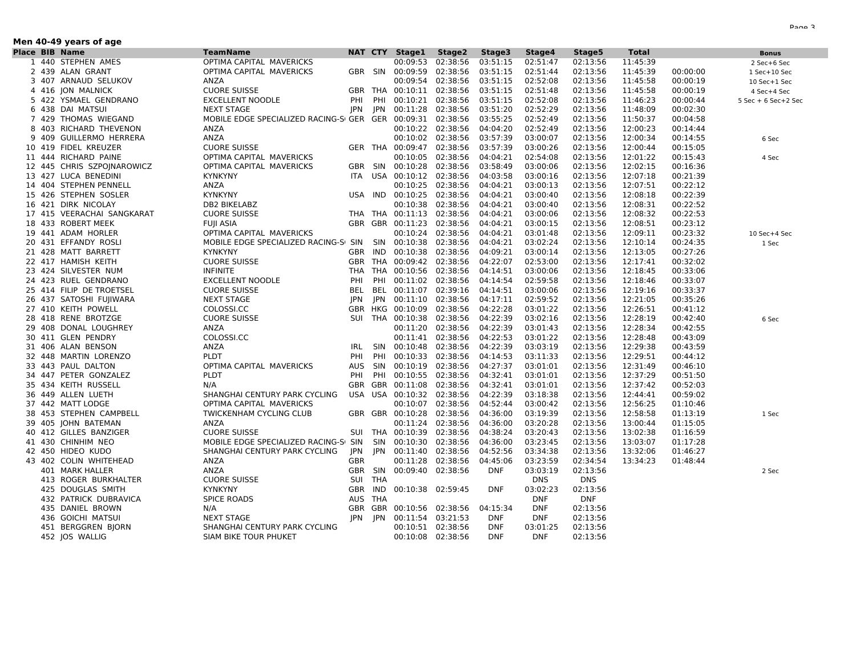| Men 40-49 years of age |  |                            |                                                                      |            |            |                           |                   |                          |                        |                      |              |          |                         |
|------------------------|--|----------------------------|----------------------------------------------------------------------|------------|------------|---------------------------|-------------------|--------------------------|------------------------|----------------------|--------------|----------|-------------------------|
| <b>Place BIB Name</b>  |  |                            | <b>TeamName</b>                                                      |            |            | NAT CTY Stage1            | Stage2            | Stage3                   | Stage4                 | Stage5               | <b>Total</b> |          | <b>Bonus</b>            |
|                        |  | 1 440 STEPHEN AMES         | OPTIMA CAPITAL MAVERICKS                                             |            |            |                           | 00:09:53 02:38:56 | 03:51:15                 | 02:51:47               | 02:13:56             | 11:45:39     |          | 2 Sec+6 Sec             |
|                        |  | 2 439 ALAN GRANT           | OPTIMA CAPITAL MAVERICKS                                             |            |            | GBR SIN 00:09:59 02:38:56 |                   | 03:51:15                 | 02:51:44               | 02:13:56             | 11:45:39     | 00:00:00 | 1 Sec+10 Sec            |
|                        |  | 3 407 ARNAUD SELUKOV       | ANZA                                                                 |            |            | 00:09:54 02:38:56         |                   | 03:51:15                 | 02:52:08               | 02:13:56             | 11:45:58     | 00:00:19 | 10 Sec+1 Sec            |
|                        |  | 4 416 JON MALNICK          | <b>CUORE SUISSE</b>                                                  |            |            | GBR THA 00:10:11 02:38:56 |                   | 03:51:15                 | 02:51:48               | 02:13:56             | 11:45:58     | 00:00:19 | 4 Sec+4 Sec             |
|                        |  | 5 422 YSMAEL GENDRANO      | <b>EXCELLENT NOODLE</b>                                              | PHI        | PHI        | 00:10:21 02:38:56         |                   | 03:51:15                 | 02:52:08               | 02:13:56             | 11:46:23     | 00:00:44 | $5$ Sec + 6 Sec + 2 Sec |
|                        |  | 6 438 DAI MATSUI           | NEXT STAGE                                                           | <b>JPN</b> | JPN        | 00:11:28 02:38:56         |                   | 03:51:20                 | 02:52:29               | 02:13:56             | 11:48:09     | 00:02:30 |                         |
|                        |  | 7 429 THOMAS WIEGAND       | MOBILE EDGE SPECIALIZED RACING-SI GER    GER    00:09:31    02:38:56 |            |            |                           |                   | 03:55:25                 | 02:52:49               | 02:13:56             | 11:50:37     | 00:04:58 |                         |
|                        |  | 8 403 RICHARD THEVENON     | ANZA                                                                 |            |            | 00:10:22 02:38:56         |                   | 04:04:20                 | 02:52:49               | 02:13:56             | 12:00:23     | 00:14:44 |                         |
|                        |  | 9 409 GUILLERMO HERRERA    | ANZA                                                                 |            |            | 00:10:02 02:38:56         |                   | 03:57:39                 | 03:00:07               | 02:13:56             | 12:00:34     | 00:14:55 | 6 Sec                   |
|                        |  | 10 419 FIDEL KREUZER       | <b>CUORE SUISSE</b>                                                  |            |            | GER THA 00:09:47 02:38:56 |                   | 03:57:39                 | 03:00:26               | 02:13:56             | 12:00:44     | 00:15:05 |                         |
|                        |  | 11 444 RICHARD PAINE       | OPTIMA CAPITAL MAVERICKS                                             |            |            | 00:10:05 02:38:56         |                   | 04:04:21                 | 02:54:08               | 02:13:56             | 12:01:22     | 00:15:43 | 4 Sec                   |
|                        |  | 12 445 CHRIS SZPOJNAROWICZ | OPTIMA CAPITAL MAVERICKS                                             |            |            | GBR SIN 00:10:28 02:38:56 |                   | 03:58:49                 | 03:00:06               | 02:13:56             | 12:02:15     | 00:16:36 |                         |
|                        |  | 13 427 LUCA BENEDINI       | <b>KYNKYNY</b>                                                       |            |            | ITA USA 00:10:12 02:38:56 |                   | 04:03:58                 | 03:00:16               | 02:13:56             | 12:07:18     | 00:21:39 |                         |
|                        |  | 14 404 STEPHEN PENNELL     | ANZA                                                                 |            |            |                           | 00:10:25 02:38:56 | 04:04:21                 | 03:00:13               | 02:13:56             | 12:07:51     | 00:22:12 |                         |
|                        |  | 15 426 STEPHEN SOSLER      | <b>KYNKYNY</b>                                                       | USA IND    |            | 00:10:25 02:38:56         |                   | 04:04:21                 | 03:00:40               | 02:13:56             | 12:08:18     | 00:22:39 |                         |
|                        |  | 16 421 DIRK NICOLAY        | DB2 BIKELABZ                                                         |            |            | 00:10:38 02:38:56         |                   | 04:04:21                 | 03:00:40               | 02:13:56             | 12:08:31     | 00:22:52 |                         |
|                        |  | 17 415 VEERACHAI SANGKARAT | <b>CUORE SUISSE</b>                                                  |            |            | THA THA 00:11:13 02:38:56 |                   | 04:04:21                 | 03:00:06               | 02:13:56             | 12:08:32     | 00:22:53 |                         |
|                        |  | 18 433 ROBERT MEEK         | <b>FUJI ASIA</b>                                                     |            |            | GBR GBR 00:11:23 02:38:56 |                   | 04:04:21                 | 03:00:15               | 02:13:56             | 12:08:51     | 00:23:12 |                         |
|                        |  | 19 441 ADAM HORLER         | OPTIMA CAPITAL MAVERICKS                                             |            |            |                           | 00:10:24 02:38:56 | 04:04:21                 | 03:01:48               | 02:13:56             | 12:09:11     | 00:23:32 | 10 Sec+4 Sec            |
|                        |  | 20 431 EFFANDY ROSLI       | MOBILE EDGE SPECIALIZED RACING-S SIN SIN 00:10:38 02:38:56           |            |            |                           |                   | 04:04:21                 | 03:02:24               | 02:13:56             | 12:10:14     | 00:24:35 | 1 Sec                   |
|                        |  | 21 428 MATT BARRETT        | <b>KYNKYNY</b>                                                       | GBR IND    |            | 00:10:38 02:38:56         |                   | 04:09:21                 | 03:00:14               | 02:13:56             | 12:13:05     | 00:27:26 |                         |
|                        |  | 22 417 HAMISH KEITH        | <b>CUORE SUISSE</b>                                                  |            |            | GBR THA 00:09:42 02:38:56 |                   | 04:22:07                 | 02:53:00               | 02:13:56             | 12:17:41     | 00:32:02 |                         |
|                        |  | 23 424 SILVESTER NUM       | <b>INFINITE</b>                                                      |            | THA THA    | 00:10:56 02:38:56         |                   | 04:14:51                 | 03:00:06               | 02:13:56             | 12:18:45     | 00:33:06 |                         |
|                        |  | 24 423 RUEL GENDRANO       | <b>EXCELLENT NOODLE</b>                                              | PHI        | PHI        | 00:11:02 02:38:56         |                   | 04:14:54                 | 02:59:58               | 02:13:56             | 12:18:46     | 00:33:07 |                         |
|                        |  | 25 414 FILIP DE TROETSEL   | <b>CUORE SUISSE</b>                                                  | BEL        | BEL        | 00:11:07 02:39:16         |                   | 04:14:51                 | 03:00:06               | 02:13:56             | 12:19:16     | 00:33:37 |                         |
|                        |  | 26 437 SATOSHI FUJIWARA    | NEXT STAGE                                                           | JPN        | JPN        | 00:11:10 02:38:56         |                   | 04:17:11                 | 02:59:52               | 02:13:56             | 12:21:05     | 00:35:26 |                         |
|                        |  | 27 410 KEITH POWELL        | COLOSSI.CC                                                           | GBR HKG    |            | 00:10:09 02:38:56         |                   | 04:22:28                 | 03:01:22               | 02:13:56             | 12:26:51     | 00:41:12 |                         |
|                        |  | 28 418 RENE BROTZGE        | <b>CUORE SUISSE</b>                                                  |            |            | SUI THA 00:10:38 02:38:56 |                   | 04:22:39                 | 03:02:16               | 02:13:56             | 12:28:19     | 00:42:40 | 6 Sec                   |
|                        |  | 29 408 DONAL LOUGHREY      | ANZA                                                                 |            |            | 00:11:20 02:38:56         |                   | 04:22:39                 | 03:01:43               | 02:13:56             | 12:28:34     | 00:42:55 |                         |
|                        |  | 30 411 GLEN PENDRY         | COLOSSI.CC                                                           |            |            | 00:11:41 02:38:56         |                   | 04:22:53                 | 03:01:22               | 02:13:56             | 12:28:48     | 00:43:09 |                         |
|                        |  | 31 406 ALAN BENSON         | ANZA                                                                 | IRL        | SIN        | 00:10:48 02:38:56         |                   | 04:22:39                 | 03:03:19               | 02:13:56             | 12:29:38     | 00:43:59 |                         |
|                        |  | 32 448 MARTIN LORENZO      | <b>PLDT</b>                                                          | PHI        | PHI        | 00:10:33 02:38:56         |                   | 04:14:53                 | 03:11:33               | 02:13:56             | 12:29:51     | 00:44:12 |                         |
|                        |  | 33 443 PAUL DALTON         | OPTIMA CAPITAL MAVERICKS                                             | AUS        | SIN        | 00:10:19 02:38:56         |                   | 04:27:37                 | 03:01:01               | 02:13:56             | 12:31:49     | 00:46:10 |                         |
|                        |  | 34 447 PETER GONZALEZ      | <b>PLDT</b>                                                          | PHI        | PHI        | 00:10:55 02:38:56         |                   | 04:32:41                 | 03:01:01               | 02:13:56             | 12:37:29     | 00:51:50 |                         |
|                        |  | 35 434 KEITH RUSSELL       | N/A                                                                  |            | GBR GBR    | 00:11:08 02:38:56         |                   | 04:32:41                 | 03:01:01               | 02:13:56             | 12:37:42     | 00:52:03 |                         |
|                        |  | 36 449 ALLEN LUETH         | SHANGHAI CENTURY PARK CYCLING                                        |            |            | USA USA 00:10:32 02:38:56 |                   | 04:22:39                 | 03:18:38               | 02:13:56             | 12:44:41     | 00:59:02 |                         |
|                        |  | 37 442 MATT LODGE          | OPTIMA CAPITAL MAVERICKS                                             |            |            | 00:10:07 02:38:56         |                   | 04:52:44                 | 03:00:42               | 02:13:56             | 12:56:25     | 01:10:46 |                         |
|                        |  | 38 453 STEPHEN CAMPBELL    | TWICKENHAM CYCLING CLUB                                              |            |            | GBR GBR 00:10:28 02:38:56 |                   | 04:36:00                 | 03:19:39               | 02:13:56             | 12:58:58     | 01:13:19 | 1 Sec                   |
|                        |  | 39 405 JOHN BATEMAN        | ANZA                                                                 |            |            |                           | 00:11:24 02:38:56 | 04:36:00                 | 03:20:28               | 02:13:56             | 13:00:44     | 01:15:05 |                         |
|                        |  | 40 412 GILLES BANZIGER     | <b>CUORE SUISSE</b>                                                  |            |            | SUI THA 00:10:39 02:38:56 |                   | 04:38:24                 | 03:20:43               | 02:13:56             | 13:02:38     | 01:16:59 |                         |
|                        |  | 41 430 CHINHIM NEO         | MOBILE EDGE SPECIALIZED RACING-SI SIN                                |            | SIN        | 00:10:30 02:38:56         |                   | 04:36:00                 | 03:23:45               | 02:13:56             | 13:03:07     | 01:17:28 |                         |
|                        |  | 42 450 HIDEO KUDO          | SHANGHAI CENTURY PARK CYCLING                                        | JPN        | <b>JPN</b> | 00:11:40 02:38:56         |                   | 04:52:56                 | 03:34:38               | 02:13:56             | 13:32:06     | 01:46:27 |                         |
|                        |  | 43 402 COLIN WHITEHEAD     | ANZA                                                                 | <b>GBR</b> |            | 00:11:28 02:38:56         |                   | 04:45:06                 | 03:23:59               | 02:34:54             | 13:34:23     | 01:48:44 |                         |
|                        |  | 401 MARK HALLER            | ANZA                                                                 | GBR        | SIN        | 00:09:40 02:38:56         |                   | <b>DNF</b>               | 03:03:19               | 02:13:56             |              |          | 2 Sec                   |
|                        |  | 413 ROGER BURKHALTER       | <b>CUORE SUISSE</b>                                                  | SUI        | <b>THA</b> |                           |                   |                          | <b>DNS</b>             | <b>DNS</b>           |              |          |                         |
|                        |  | 425 DOUGLAS SMITH          | <b>KYNKYNY</b>                                                       | GBR IND    |            | 00:10:38 02:59:45         |                   | <b>DNF</b>               | 03:02:23               | 02:13:56             |              |          |                         |
|                        |  | 432 PATRICK DUBRAVICA      | <b>SPICE ROADS</b>                                                   | AUS THA    |            |                           |                   |                          | <b>DNF</b>             | <b>DNF</b>           |              |          |                         |
|                        |  | 435 DANIEL BROWN           | N/A                                                                  | GBR GBR    |            | 00:10:56 02:38:56         |                   | 04:15:34                 | <b>DNF</b>             | 02:13:56             |              |          |                         |
|                        |  | 436 GOICHI MATSUI          | NEXT STAGE                                                           | JPN JPN    |            | 00:11:54 03:21:53         |                   | <b>DNF</b><br><b>DNF</b> | <b>DNF</b><br>03:01:25 | 02:13:56<br>02:13:56 |              |          |                         |
|                        |  | 451 BERGGREN BJORN         | SHANGHAI CENTURY PARK CYCLING                                        |            |            | 00:10:51 02:38:56         |                   | <b>DNF</b>               | <b>DNF</b>             |                      |              |          |                         |
|                        |  | 452 JOS WALLIG             | SIAM BIKE TOUR PHUKET                                                |            |            | 00:10:08 02:38:56         |                   |                          |                        | 02:13:56             |              |          |                         |